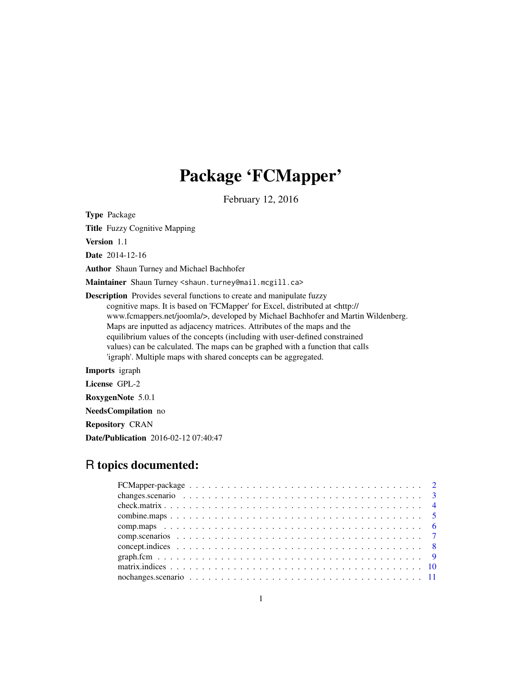# Package 'FCMapper'

February 12, 2016

Type Package

Title Fuzzy Cognitive Mapping

Version 1.1

Date 2014-12-16

Author Shaun Turney and Michael Bachhofer

Maintainer Shaun Turney <shaun.turney@mail.mcgill.ca>

Description Provides several functions to create and manipulate fuzzy cognitive maps. It is based on 'FCMapper' for Excel, distributed at <http:// www.fcmappers.net/joomla/>, developed by Michael Bachhofer and Martin Wildenberg. Maps are inputted as adjacency matrices. Attributes of the maps and the equilibrium values of the concepts (including with user-defined constrained values) can be calculated. The maps can be graphed with a function that calls 'igraph'. Multiple maps with shared concepts can be aggregated.

Imports igraph

License GPL-2

RoxygenNote 5.0.1

NeedsCompilation no

Repository CRAN

Date/Publication 2016-02-12 07:40:47

# R topics documented: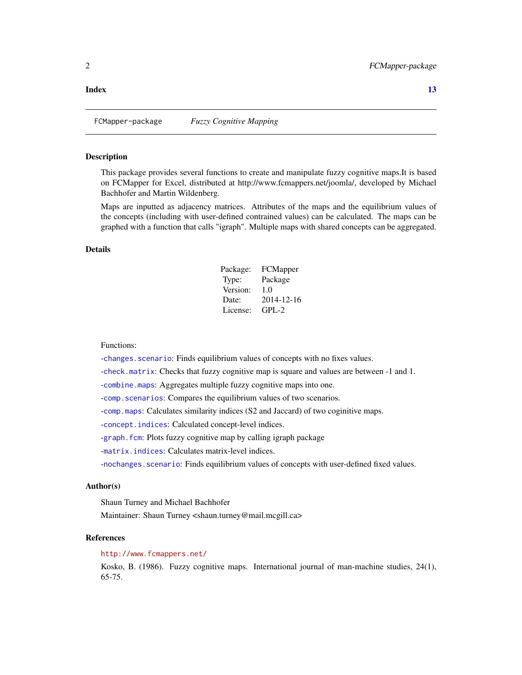# <span id="page-1-0"></span>**Index** [13](#page-12-0)

FCMapper-package *Fuzzy Cognitive Mapping*

#### Description

This package provides several functions to create and manipulate fuzzy cognitive maps.It is based on FCMapper for Excel, distributed at http://www.fcmappers.net/joomla/, developed by Michael Bachhofer and Martin Wildenberg.

Maps are inputted as adjacency matrices. Attributes of the maps and the equilibrium values of the concepts (including with user-defined contrained values) can be calculated. The maps can be graphed with a function that calls "igraph". Multiple maps with shared concepts can be aggregated.

# Details

| Package: | FCMapper   |
|----------|------------|
| Type:    | Package    |
| Version: | 1.0        |
| Date:    | 2014-12-16 |
| License: | $GPL-2$    |

# Functions:

-changes. scenario: Finds equilibrium values of concepts with no fixes values.

-[check.matrix](#page-3-1): Checks that fuzzy cognitive map is square and values are between -1 and 1.

-[combine.maps](#page-4-1): Aggregates multiple fuzzy cognitive maps into one.

-[comp.scenarios](#page-6-1): Compares the equilibrium values of two scenarios.

-[comp.maps](#page-5-1): Calculates similarity indices (S2 and Jaccard) of two coginitive maps.

-[concept.indices](#page-7-1): Calculated concept-level indices.

-graph. fcm: Plots fuzzy cognitive map by calling igraph package

-[matrix.indices](#page-9-1): Calculates matrix-level indices.

-[nochanges.scenario](#page-10-1): Finds equilibrium values of concepts with user-defined fixed values.

#### Author(s)

Shaun Turney and Michael Bachhofer

Maintainer: Shaun Turney <shaun.turney@mail.mcgill.ca>

#### References

# <http://www.fcmappers.net/>

Kosko, B. (1986). Fuzzy cognitive maps. International journal of man-machine studies, 24(1), 65-75.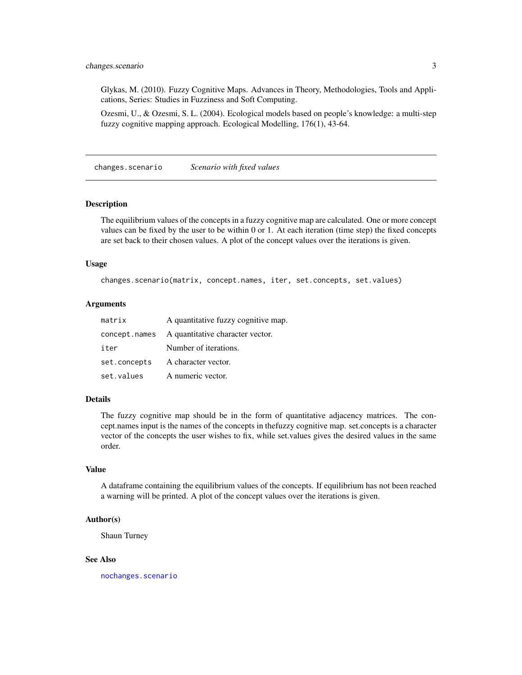<span id="page-2-0"></span>Glykas, M. (2010). Fuzzy Cognitive Maps. Advances in Theory, Methodologies, Tools and Applications, Series: Studies in Fuzziness and Soft Computing.

Ozesmi, U., & Ozesmi, S. L. (2004). Ecological models based on people's knowledge: a multi-step fuzzy cognitive mapping approach. Ecological Modelling, 176(1), 43-64.

<span id="page-2-1"></span>changes.scenario *Scenario with fixed values*

#### **Description**

The equilibrium values of the concepts in a fuzzy cognitive map are calculated. One or more concept values can be fixed by the user to be within 0 or 1. At each iteration (time step) the fixed concepts are set back to their chosen values. A plot of the concept values over the iterations is given.

# Usage

changes.scenario(matrix, concept.names, iter, set.concepts, set.values)

# Arguments

| matrix       | A quantitative fuzzy cognitive map.            |
|--------------|------------------------------------------------|
|              | concept.names A quantitative character vector. |
| iter         | Number of iterations.                          |
| set.concepts | A character vector.                            |
| set.values   | A numeric vector.                              |

# Details

The fuzzy cognitive map should be in the form of quantitative adjacency matrices. The concept.names input is the names of the concepts in thefuzzy cognitive map. set.concepts is a character vector of the concepts the user wishes to fix, while set.values gives the desired values in the same order.

# Value

A dataframe containing the equilibrium values of the concepts. If equilibrium has not been reached a warning will be printed. A plot of the concept values over the iterations is given.

#### Author(s)

Shaun Turney

# See Also

[nochanges.scenario](#page-10-1)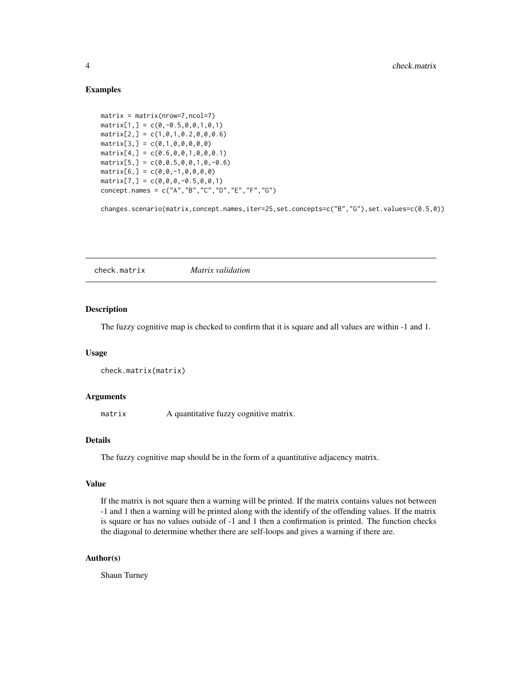# Examples

```
matrix = matrix(nrow=7,ncol=7)
matrix[1,] = c(0, -0.5, 0, 0, 1, 0, 1)matrix[2,] = c(1,0,1,0.2,0,0,0.6)matrix[3,] = c(0,1,0,0,0,0,0)matrix[4,] = c(0.6, 0, 0, 1, 0, 0, 0.1)matrix[5,] = c(0, 0.5, 0, 0, 1, 0, -0.6)matrix[6,] = c(0,0,-1,0,0,0,0)matrix[7,] = c(0,0,0,-0.5,0,0,1)concept.names = c("A","B","C","D","E","F","G")
```
changes.scenario(matrix,concept.names,iter=25,set.concepts=c("B","G"),set.values=c(0.5,0))

<span id="page-3-1"></span>check.matrix *Matrix validation*

# Description

The fuzzy cognitive map is checked to confirm that it is square and all values are within -1 and 1.

#### Usage

```
check.matrix(matrix)
```
# Arguments

matrix A quantitative fuzzy cognitive matrix.

# Details

The fuzzy cognitive map should be in the form of a quantitative adjacency matrix.

# Value

If the matrix is not square then a warning will be printed. If the matrix contains values not between -1 and 1 then a warning will be printed along with the identify of the offending values. If the matrix is square or has no values outside of -1 and 1 then a confirmation is printed. The function checks the diagonal to determine whether there are self-loops and gives a warning if there are.

# Author(s)

Shaun Turney

<span id="page-3-0"></span>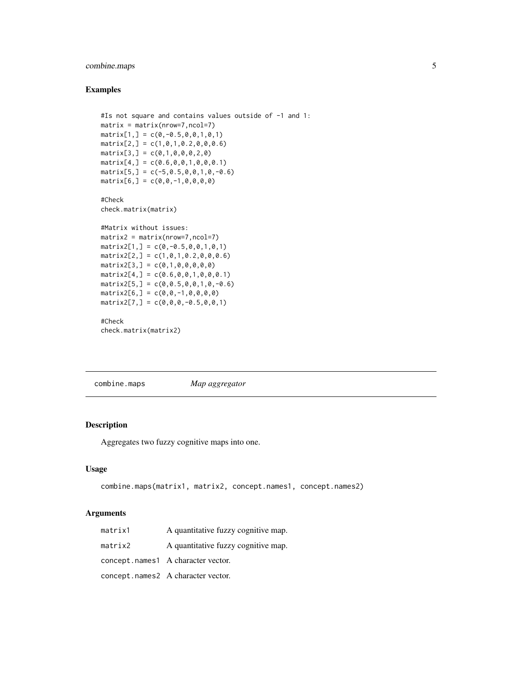# <span id="page-4-0"></span>combine.maps 5

# Examples

```
#Is not square and contains values outside of -1 and 1:
matrix = matrix(nrow=7,ncol=7)
matrix[1,] = c(0, -0.5, 0, 0, 1, 0, 1)matrix[2,] = c(1,0,1,0.2,0,0,0.6)matrix[3,] = c(0,1,0,0,0,2,0)matrix[4,] = c(0.6, 0, 0, 1, 0, 0, 0.1)matrix[5,] = c(-5, 0.5, 0, 0, 1, 0, -0.6)matrix[6,] = c(0,0,-1,0,0,0,0)#Check
check.matrix(matrix)
#Matrix without issues:
matrix2 = matrix(nrow=7,ncol=7)matrix2[1,] = c(0, -0.5, 0, 0, 1, 0, 1)matrix2[2,] = c(1,0,1,0.2,0,0,0.6)matrix2[3,] = c(0,1,0,0,0,0,0)matrix2[4,] = c(0.6, 0, 0, 1, 0, 0, 0.1)matrix2[5,] = c(0, 0.5, 0, 0, 1, 0, -0.6)matrix2[6,] = c(0,0,-1,0,0,0,0)matrix2[7,] = c(0,0,0,-0.5,0,0,1)
```
#Check check.matrix(matrix2)

<span id="page-4-1"></span>combine.maps *Map aggregator*

# Description

Aggregates two fuzzy cognitive maps into one.

# Usage

```
combine.maps(matrix1, matrix2, concept.names1, concept.names2)
```
#### Arguments

| matrix1 | A quantitative fuzzy cognitive map. |
|---------|-------------------------------------|
| matrix2 | A quantitative fuzzy cognitive map. |
|         | concept.names1 A character vector.  |
|         | concept.names2 A character vector.  |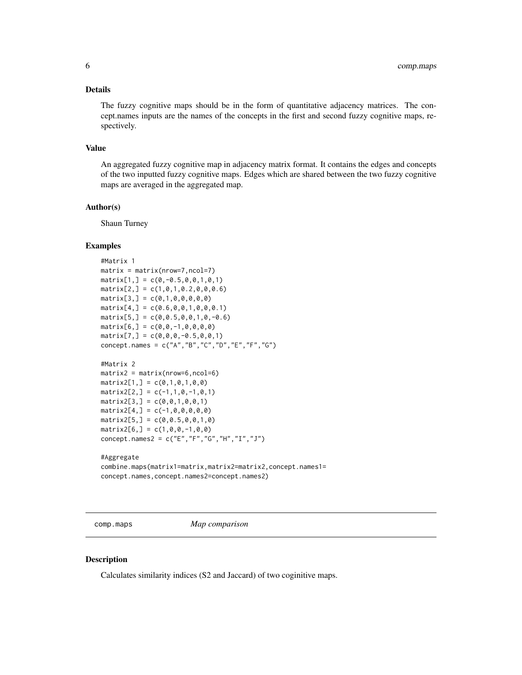# <span id="page-5-0"></span>Details

The fuzzy cognitive maps should be in the form of quantitative adjacency matrices. The concept.names inputs are the names of the concepts in the first and second fuzzy cognitive maps, respectively.

#### Value

An aggregated fuzzy cognitive map in adjacency matrix format. It contains the edges and concepts of the two inputted fuzzy cognitive maps. Edges which are shared between the two fuzzy cognitive maps are averaged in the aggregated map.

# Author(s)

Shaun Turney

#### Examples

```
#Matrix 1
matrix = matrix(nrow=7,ncol=7)matrix[1,] = c(0, -0.5, 0, 0, 1, 0, 1)matrix[2,] = c(1,0,1,0.2,0,0,0.6)matrix[3,] = c(0,1,0,0,0,0,0)matrix[4,] = c(0.6, 0, 0, 1, 0, 0, 0.1)matrix[5,] = c(0, 0.5, 0, 0, 1, 0, -0.6)matrix[6,] = c(0,0,-1,0,0,0,0)matrix[7,] = c(0,0,0,-0.5,0,0,1)concept.names = c("A","B","C","D","E","F","G")
```

```
#Matrix 2
matrix2 = matrix(nrow=6, ncol=6)matrix2[1,] = c(0,1,0,1,0,0)matrix2[2,] = c(-1,1,0,-1,0,1)matrix2[3,] = c(0,0,1,0,0,1)matrix2[4,] = c(-1,0,0,0,0,0)matrix2[5,] = c(0, 0.5, 0, 0, 1, 0)matrix2[6,] = c(1,0,0,-1,0,0)concept.names2 = c("E","F","G","H","I","J")
```

```
#Aggregate
```

```
combine.maps(matrix1=matrix,matrix2=matrix2,concept.names1=
concept.names,concept.names2=concept.names2)
```
<span id="page-5-1"></span>comp.maps *Map comparison*

# Description

Calculates similarity indices (S2 and Jaccard) of two coginitive maps.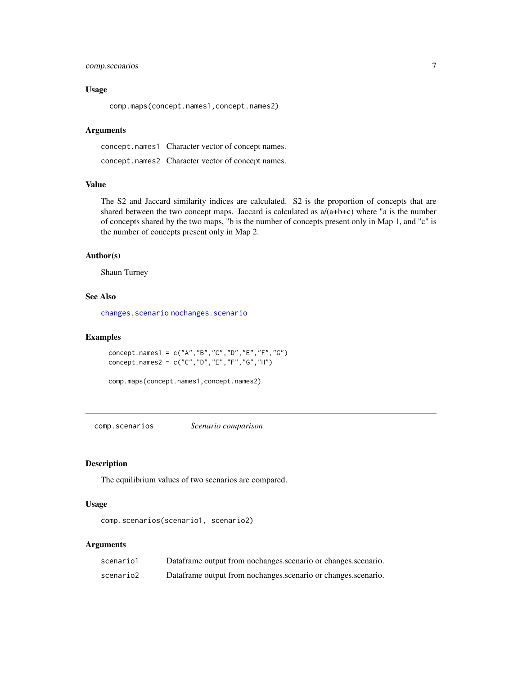# <span id="page-6-0"></span>comp.scenarios 7

# Usage

comp.maps(concept.names1,concept.names2)

#### Arguments

concept.names1 Character vector of concept names. concept.names2 Character vector of concept names.

# Value

The S2 and Jaccard similarity indices are calculated. S2 is the proportion of concepts that are shared between the two concept maps. Jaccard is calculated as  $a/(a+b+c)$  where "a is the number of concepts shared by the two maps, "b is the number of concepts present only in Map 1, and "c" is the number of concepts present only in Map 2.

#### Author(s)

Shaun Turney

# See Also

[changes.scenario](#page-2-1) [nochanges.scenario](#page-10-1)

# Examples

```
concept.names1 = c("A","B","C","D","E","F","G")
concept.names2 = c("C","D","E","F","G","H")
```
comp.maps(concept.names1,concept.names2)

<span id="page-6-1"></span>comp.scenarios *Scenario comparison*

# Description

The equilibrium values of two scenarios are compared.

# Usage

```
comp.scenarios(scenario1, scenario2)
```
#### Arguments

| scenario1 | Dataframe output from nochanges.scenario or changes.scenario. |
|-----------|---------------------------------------------------------------|
| scenario2 | Dataframe output from nochanges scenario or changes scenario. |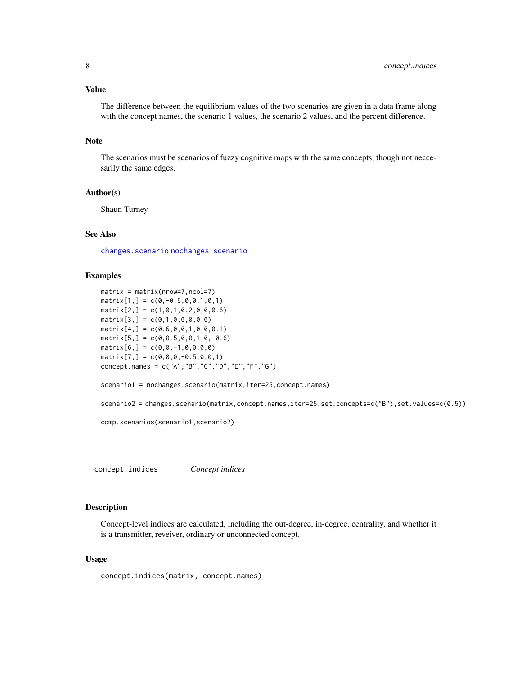# <span id="page-7-0"></span>Value

The difference between the equilibrium values of the two scenarios are given in a data frame along with the concept names, the scenario 1 values, the scenario 2 values, and the percent difference.

# Note

The scenarios must be scenarios of fuzzy cognitive maps with the same concepts, though not neccesarily the same edges.

# Author(s)

Shaun Turney

#### See Also

[changes.scenario](#page-2-1) [nochanges.scenario](#page-10-1)

# Examples

```
matrix = matrix(nrow=7,ncol=7)
matrix[1,] = c(0, -0.5, 0, 0, 1, 0, 1)matrix[2,] = c(1,0,1,0.2,0,0,0.6)matrix[3,] = c(0,1,0,0,0,0,0)matrix[4,] = c(0.6, 0, 0, 1, 0, 0, 0.1)matrix[5,] = c(0, 0.5, 0, 0, 1, 0, -0.6)matrix[6,] = c(0,0,-1,0,0,0,0)matrix[7,] = c(0,0,0,-0.5,0,0,1)concept.names = c("A","B","C","D","E","F","G")
scenario1 = nochanges.scenario(matrix,iter=25,concept.names)
scenario2 = changes.scenario(matrix,concept.names,iter=25,set.concepts=c("B"),set.values=c(0.5))
comp.scenarios(scenario1,scenario2)
```
<span id="page-7-1"></span>concept.indices *Concept indices*

# Description

Concept-level indices are calculated, including the out-degree, in-degree, centrality, and whether it is a transmitter, reveiver, ordinary or unconnected concept.

# Usage

concept.indices(matrix, concept.names)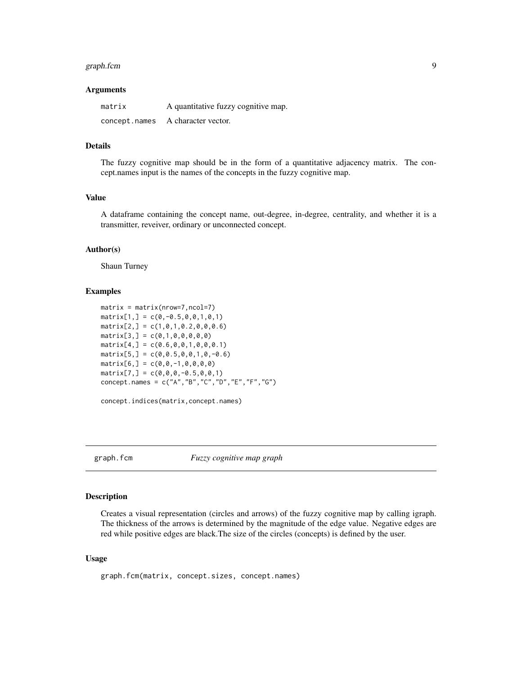#### <span id="page-8-0"></span>graph.fcm 9

#### Arguments

| matrix        | A quantitative fuzzy cognitive map. |
|---------------|-------------------------------------|
| concept.names | A character vector.                 |

# Details

The fuzzy cognitive map should be in the form of a quantitative adjacency matrix. The concept.names input is the names of the concepts in the fuzzy cognitive map.

#### Value

A dataframe containing the concept name, out-degree, in-degree, centrality, and whether it is a transmitter, reveiver, ordinary or unconnected concept.

# Author(s)

Shaun Turney

# Examples

```
matrix = matrix(nrow=7,ncol=7)matrix[1,] = c(0, -0.5, 0, 0, 1, 0, 1)matrix[2,] = c(1,0,1,0.2,0,0,0.6)matrix[3,] = c(0,1,0,0,0,0,0)matrix[4,] = c(0.6, 0, 0, 1, 0, 0, 0.1)matrix[5,] = c(0, 0.5, 0, 0, 1, 0, -0.6)matrix[6,] = c(0,0,-1,0,0,0,0)matrix[7,] = c(0,0,0,-0.5,0,0,1)concept.names = c("A","B","C","D","E","F","G")
```
concept.indices(matrix,concept.names)

<span id="page-8-1"></span>graph.fcm *Fuzzy cognitive map graph*

# Description

Creates a visual representation (circles and arrows) of the fuzzy cognitive map by calling igraph. The thickness of the arrows is determined by the magnitude of the edge value. Negative edges are red while positive edges are black.The size of the circles (concepts) is defined by the user.

# Usage

```
graph.fcm(matrix, concept.sizes, concept.names)
```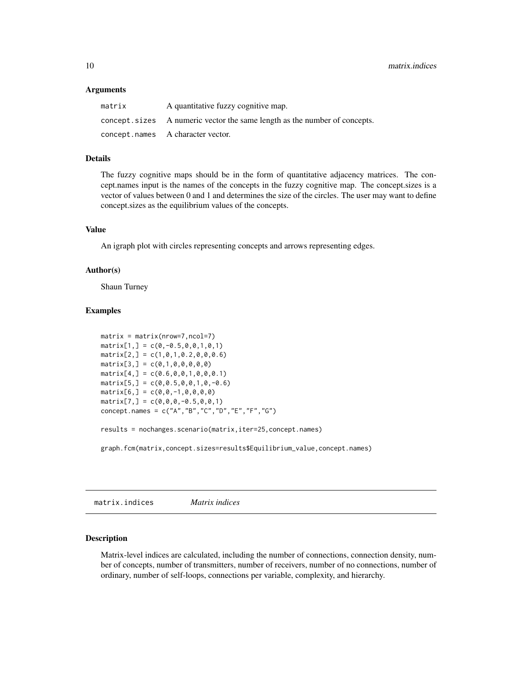#### <span id="page-9-0"></span>Arguments

| matrix | A quantitative fuzzy cognitive map.                                        |
|--------|----------------------------------------------------------------------------|
|        | concept. sizes A numeric vector the same length as the number of concepts. |
|        | concept.names A character vector.                                          |

#### Details

The fuzzy cognitive maps should be in the form of quantitative adjacency matrices. The concept.names input is the names of the concepts in the fuzzy cognitive map. The concept.sizes is a vector of values between 0 and 1 and determines the size of the circles. The user may want to define concept.sizes as the equilibrium values of the concepts.

# Value

An igraph plot with circles representing concepts and arrows representing edges.

# Author(s)

Shaun Turney

# Examples

```
matrix = matrix(nrow=7,ncol=7)
matrix[1,] = c(0, -0.5, 0, 0, 1, 0, 1)matrix[2,] = c(1,0,1,0.2,0,0,0.6)matrix[3,] = c(0,1,0,0,0,0,0)matrix[4,] = c(0.6, 0, 0, 1, 0, 0, 0.1)matrix[5,] = c(0, 0.5, 0, 0, 1, 0, -0.6)matrix[6,] = c(0,0,-1,0,0,0,0)matrix[7,] = c(0,0,0,-0.5,0,0,1)concept.names = c("A","B","C","D","E","F","G")
results = nochanges.scenario(matrix,iter=25,concept.names)
```
graph.fcm(matrix,concept.sizes=results\$Equilibrium\_value,concept.names)

<span id="page-9-1"></span>matrix.indices *Matrix indices*

# Description

Matrix-level indices are calculated, including the number of connections, connection density, number of concepts, number of transmitters, number of receivers, number of no connections, number of ordinary, number of self-loops, connections per variable, complexity, and hierarchy.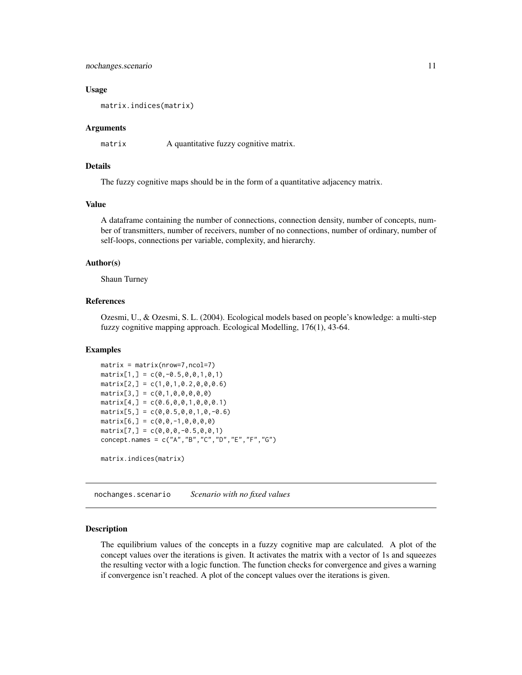#### <span id="page-10-0"></span>nochanges.scenario 11

#### Usage

matrix.indices(matrix)

# Arguments

matrix A quantitative fuzzy cognitive matrix.

# Details

The fuzzy cognitive maps should be in the form of a quantitative adjacency matrix.

#### Value

A dataframe containing the number of connections, connection density, number of concepts, number of transmitters, number of receivers, number of no connections, number of ordinary, number of self-loops, connections per variable, complexity, and hierarchy.

# Author(s)

Shaun Turney

# References

Ozesmi, U., & Ozesmi, S. L. (2004). Ecological models based on people's knowledge: a multi-step fuzzy cognitive mapping approach. Ecological Modelling, 176(1), 43-64.

# Examples

```
matrix = matrix(nrow=7,ncol=7)
matrix[1,] = c(0, -0.5, 0, 0, 1, 0, 1)matrix[2,] = c(1,0,1,0.2,0,0,0.6)matrix[3,] = c(0,1,0,0,0,0,0)matrix[4,] = c(0.6, 0, 0, 1, 0, 0, 0.1)matrix[5,] = c(0, 0.5, 0, 0, 1, 0, -0.6)matrix[6,] = c(0,0,-1,0,0,0,0)matrix[7,] = c(0,0,0,-0.5,0,0,1)concept.names = c("A","B","C","D","E","F","G")
```
matrix.indices(matrix)

<span id="page-10-1"></span>nochanges.scenario *Scenario with no fixed values*

# Description

The equilibrium values of the concepts in a fuzzy cognitive map are calculated. A plot of the concept values over the iterations is given. It activates the matrix with a vector of 1s and squeezes the resulting vector with a logic function. The function checks for convergence and gives a warning if convergence isn't reached. A plot of the concept values over the iterations is given.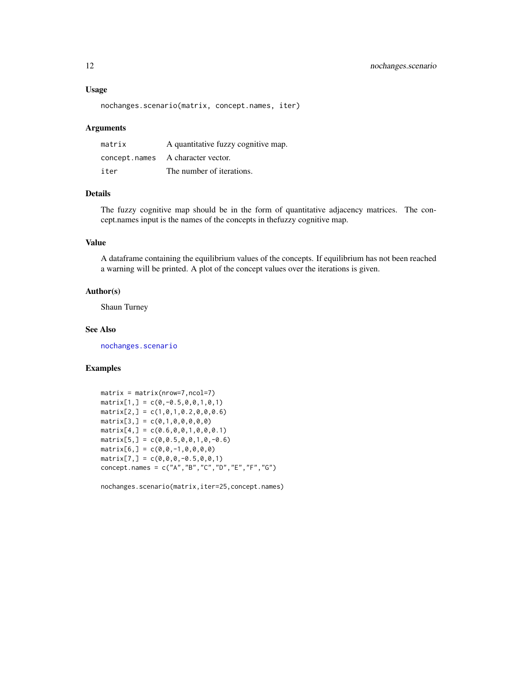#### <span id="page-11-0"></span>Usage

```
nochanges.scenario(matrix, concept.names, iter)
```
#### Arguments

| matrix | A quantitative fuzzy cognitive map. |
|--------|-------------------------------------|
|        | concept.names A character vector.   |
| iter   | The number of iterations.           |

# Details

The fuzzy cognitive map should be in the form of quantitative adjacency matrices. The concept.names input is the names of the concepts in thefuzzy cognitive map.

# Value

A dataframe containing the equilibrium values of the concepts. If equilibrium has not been reached a warning will be printed. A plot of the concept values over the iterations is given.

# Author(s)

Shaun Turney

# See Also

[nochanges.scenario](#page-10-1)

# Examples

```
matrix = matrix(nrow=7,ncol=7)
matrix[1,] = c(0, -0.5, 0, 0, 1, 0, 1)matrix[2,] = c(1,0,1,0.2,0,0,0.6)matrix[3,] = c(0,1,0,0,0,0,0)matrix[4,] = c(0.6, 0, 0, 1, 0, 0, 0.1)matrix[5,] = c(0, 0.5, 0, 0, 1, 0, -0.6)matrix[6,] = c(0,0,-1,0,0,0,0)matrix[7,] = c(0,0,0,-0.5,0,0,1)concept.names = c("A","B","C","D","E","F","G")
```
nochanges.scenario(matrix,iter=25,concept.names)